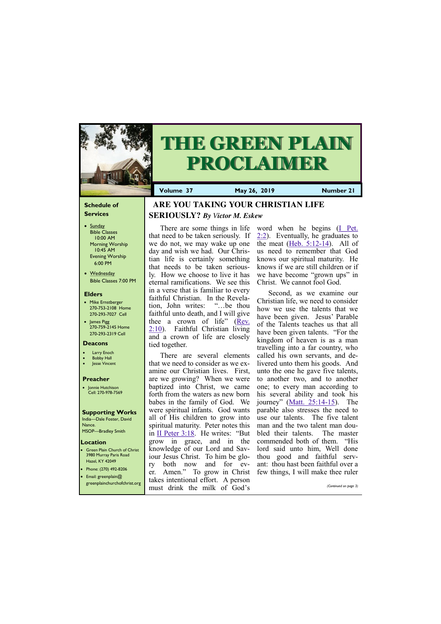#### **Schedule of Services**

- Sunday Bible Classes 10:00 AM Morning Worship 10:45 AM Evening Worship 6:00 PM
- Wednesday Bible Classes 7:00 PM

#### **Elders**

Green Plain Church of Christ 3980 Murray Paris Road Hazel, KY 42049 • Phone: (270) 492-8206

- Mike Ernstberger 270-753-2108 Home 270-293-7027 Cell
- James Pigg 270-759-2145 Home 270-293-2319 Cell

#### **Location**



# **THE GREEN PLAIN PROCLAIMER**

**Volume 37 May 26, 2019 Number 21**

#### **Deacons**

- **Larry Enoch**
- **Bobby Hall**
- **Jesse Vincent**

#### **Preacher**

• Jonnie Hutchison Cell: 270-978-7569

#### **Supporting Works** India—Dale Foster, David

Nance. MSOP—Bradley Smith  **ARE YOU TAKING YOUR CHRISTIAN LIFE** 

# **SERIOUSLY?** *By Victor M. Eskew*

There are some things in life that need to be taken seriously. If we do not, we may wake up one day and wish we had. Our Christian life is certainly something that needs to be taken seriously. How we choose to live it has eternal ramifications. We see this in a verse that is familiar to every faithful Christian. In the Revelation, John writes: "…be thou faithful unto death, and I will give thee a crown of life" ([Rev.](https://biblia.com/bible/kjv1900/Rev.%202.10)  [2:10\).](https://biblia.com/bible/kjv1900/Rev.%202.10) Faithful Christian living and a crown of life are closely tied together.

There are several elements that we need to consider as we examine our Christian lives. First, are we growing? When we were baptized into Christ, we came forth from the waters as new born babes in the family of God. We were spiritual infants. God wants all of His children to grow into spiritual maturity. Peter notes this in [II Peter 3:18.](https://biblia.com/bible/kjv1900/2%20Pet%203.18) He writes: "But grow in grace, and in the knowledge of our Lord and Saviour Jesus Christ. To him be glory both now and for ev-

| Priorie: (270) 472-8206                               | er. Amen." To grow in Christ few things, I will make thee ruler |                       |
|-------------------------------------------------------|-----------------------------------------------------------------|-----------------------|
| Email: greenplain $@$<br>greenplainchurchofchrist.org | takes intentional effort. A person                              |                       |
|                                                       | must drink the milk of God's                                    | (Continued on page 3) |

word when he begins ([I Pet.](https://biblia.com/bible/kjv1900/1%20Pet.%202.2)  [2:2\).](https://biblia.com/bible/kjv1900/1%20Pet.%202.2) Eventually, he graduates to the meat ([Heb. 5:12](https://biblia.com/bible/kjv1900/Heb.%205.12-14)-14). All of us need to remember that God knows our spiritual maturity. He knows if we are still children or if we have become "grown ups" in Christ. We cannot fool God.

Second, as we examine our Christian life, we need to consider how we use the talents that we have been given. Jesus' Parable of the Talents teaches us that all have been given talents. "For the kingdom of heaven is as a man travelling into a far country, who called his own servants, and delivered unto them his goods. And unto the one he gave five talents, to another two, and to another one; to every man according to his several ability and took his journey" ([Matt. 25:14](https://biblia.com/bible/kjv1900/Matt.%2025.14-15)-15). The parable also stresses the need to use our talents. The five talent man and the two talent man doubled their talents. The master commended both of them. "His lord said unto him, Well done thou good and faithful servant: thou hast been faithful over a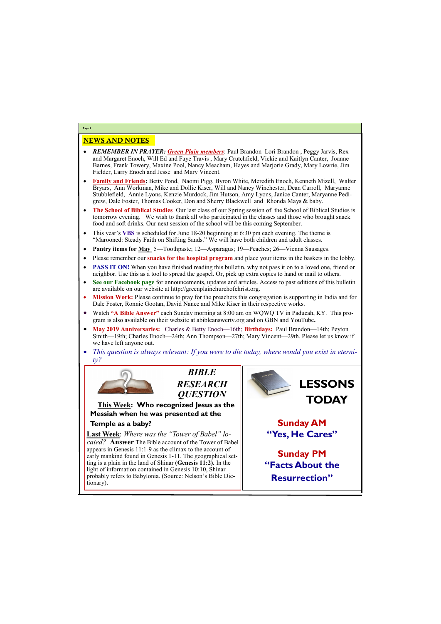## NEWS AND NOTES

- *REMEMBER IN PRAYER: Green Plain members*: Paul Brandon Lori Brandon , Peggy Jarvis, Rex and Margaret Enoch, Will Ed and Faye Travis , Mary Crutchfield, Vickie and Kaitlyn Canter, Joanne Barnes, Frank Towery, Maxine Pool, Nancy Meacham, Hayes and Marjorie Grady, Mary Lowrie, Jim Fielder, Larry Enoch and Jesse and Mary Vincent.
- **Family and Friends:** Betty Pond, Naomi Pigg, Byron White, Meredith Enoch, Kenneth Mizell, Walter Bryars, Ann Workman, Mike and Dollie Kiser, Will and Nancy Winchester, Dean Carroll, Maryanne Stubblefield, Annie Lyons, Kenzie Murdock, Jim Hutson, Amy Lyons, Janice Canter, Maryanne Pedigrew, Dale Foster, Thomas Cooker, Don and Sherry Blackwell and Rhonda Mays & baby.
- **The School of Biblical Studies** Our last class of our Spring session of the School of Biblical Studies is tomorrow evening. We wish to thank all who participated in the classes and those who brought snack food and soft drinks. Our next session of the school will be this coming September.
- This year's **VBS** is scheduled for June 18-20 beginning at 6:30 pm each evening. The theme is "Marooned: Steady Faith on Shifting Sands." We will have both children and adult classes.
- **Pantry items for May** 5—Toothpaste; 12—Asparagus; 19—Peaches; 26—Vienna Sausages.
- Please remember our **snacks for the hospital program** and place your items in the baskets in the lobby.
- **PASS IT ON!** When you have finished reading this bulletin, why not pass it on to a loved one, friend or neighbor. Use this as a tool to spread the gospel. Or, pick up extra copies to hand or mail to others.
- **See our Facebook page** for announcements, updates and articles. Access to past editions of this bulletin are available on our website at http://greenplainchurchofchrist.org.
- **Mission Work:** Please continue to pray for the preachers this congregation is supporting in India and for Dale Foster, Ronnie Gootan, David Nance and Mike Kiser in their respective works.
- Watch **"A Bible Answer"** each Sunday morning at 8:00 am on WQWQ TV in Paducah, KY. This program is also available on their website at abibleanswertv.org and on GBN and YouTube**.**
- **May 2019 Anniversaries:** Charles & Betty Enoch—16th; **Birthdays:** Paul Brandon—14th; Peyton Smith—19th; Charles Enoch—24th; Ann Thompson—27th; Mary Vincent—29th. Please let us know if we have left anyone out.
- *This question is always relevant: If you were to die today, where would you exist in eternity?*



**Page 2**

*BIBLE RESEARCH QUESTION*

**This Week: Who recognized Jesus as the Messiah when he was presented at the** 

**Temple as a baby?**

**Last Week**: *Where was the "Tower of Babel" located?* **Answer** The Bible account of the Tower of Babel appears in Genesis 11:1-9 as the climax to the account of early mankind found in Genesis 1-11. The geographical setting is a plain in the land of Shinar **(Genesis 11:2).** In the light of information contained in Genesis 10:10, Shinar

probably refers to Babylonia. (Source: Nelson's Bible Dictionary).



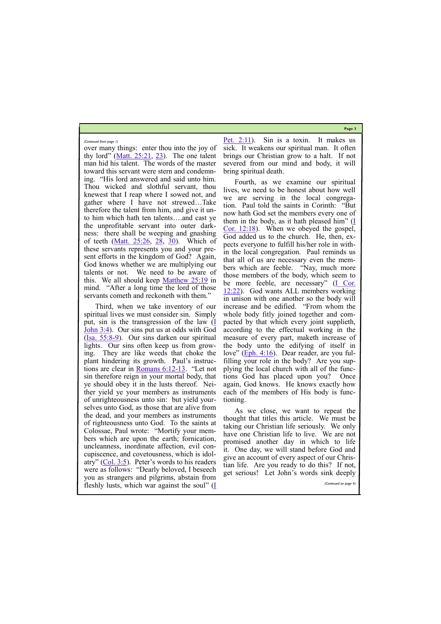**Page 3**

over many things: enter thou into the joy of thy lord" ([Matt. 25:21,](https://biblia.com/bible/kjv1900/Matt.%2025.21) [23\)](https://biblia.com/bible/kjv1900/Matt%2025.23). The one talent man hid his talent. The words of the master toward this servant were stern and condemning. "His lord answered and said unto him. Thou wicked and slothful servant, thou knewest that I reap where I sowed not, and gather where I have not strewed…Take therefore the talent from him, and give it unto him which hath ten talents….and cast ye the unprofitable servant into outer darkness: there shall be weeping and gnashing of teeth ([Matt. 25:26,](https://biblia.com/bible/kjv1900/Matt.%2025.26) [28,](https://biblia.com/bible/kjv1900/Matt%2025.28) [30\)](https://biblia.com/bible/kjv1900/Matt%2025.30). Which of these servants represents you and your present efforts in the kingdom of God? Again, God knows whether we are multiplying our talents or not. We need to be aware of this. We all should keep  $M$ atthew  $25:19$  in mind. "After a long time the lord of those servants cometh and reckoneth with them."

Third, when we take inventory of our spiritual lives we must consider sin. Simply put, sin is the transgression of the law  $(I$ [John 3:4\).](https://biblia.com/bible/kjv1900/1%20John%203.4) Our sins put us at odds with God  $(\underline{Isa. 55:8-9})$ . Our sins darken our spiritual lights. Our sins often keep us from growing. They are like weeds that choke the plant hindering its growth. Paul's instructions are clear in [Romans 6:12](https://biblia.com/bible/kjv1900/Rom%206.12-13)-13. "Let not sin therefore reign in your mortal body, that ye should obey it in the lusts thereof. Neither yield ye your members as instruments of unrighteousness unto sin: but yield yourselves unto God, as those that are alive from the dead, and your members as instruments of righteousness unto God. To the saints at Colossae, Paul wrote: "Mortify your members which are upon the earth; fornication, uncleanness, inordinate affection, evil concupiscence, and covetousness, which is idolatry"  $(Col. 3:5)$ . Peter's words to his readers were as follows: "Dearly beloved, I beseech

[Pet. 2:11\).](https://biblia.com/bible/kjv1900/1%20Pet.%202.11) Sin is a toxin. It makes us sick. It weakens our spiritual man. It often brings our Christian grow to a halt. If not severed from our mind and body, it will bring spiritual death.

Fourth, as we examine our spiritual lives, we need to be honest about how well we are serving in the local congregation. Paul told the saints in Corinth: "But now hath God set the members every one of them in the body, as it hath pleased him" ([I](https://biblia.com/bible/kjv1900/1%20Cor.%2012.18)  [Cor. 12:18\).](https://biblia.com/bible/kjv1900/1%20Cor.%2012.18) When we obeyed the gospel, God added us to the church. He, then, expects everyone to fulfill his/her role in within the local congregation. Paul reminds us that all of us are necessary even the members which are feeble. "Nay, much more those members of the body, which seem to be more feeble, are necessary" ([I Cor.](https://biblia.com/bible/kjv1900/1%20Cor.%2012.22)  [12:22\)](https://biblia.com/bible/kjv1900/1%20Cor.%2012.22). God wants ALL members working in unison with one another so the body will increase and be edified. "From whom the whole body fitly joined together and compacted by that which every joint supplieth, according to the effectual working in the measure of every part, maketh increase of the body unto the edifying of itself in love" ( $Eph. 4:16$ ). Dear reader, are you fulfilling your role in the body? Are you supplying the local church with all of the functions God has placed upon you? Once again, God knows. He knows exactly how each of the members of His body is functioning.

| were as follows. Dearly beloved, I beseech get serious! Let John's words sink deeply |                       |
|--------------------------------------------------------------------------------------|-----------------------|
| you as strangers and pilgrims, abstain from                                          |                       |
| fleshly lusts, which war against the soul" (I                                        | (Continued on page 4) |
|                                                                                      |                       |

As we close, we want to repeat the thought that titles this article. We must be taking our Christian life seriously. We only have one Christian life to live. We are not promised another day in which to life it. One day, we will stand before God and give an account of every aspect of our Christian life. Are you ready to do this? If not,

*(Continued from page 1)*